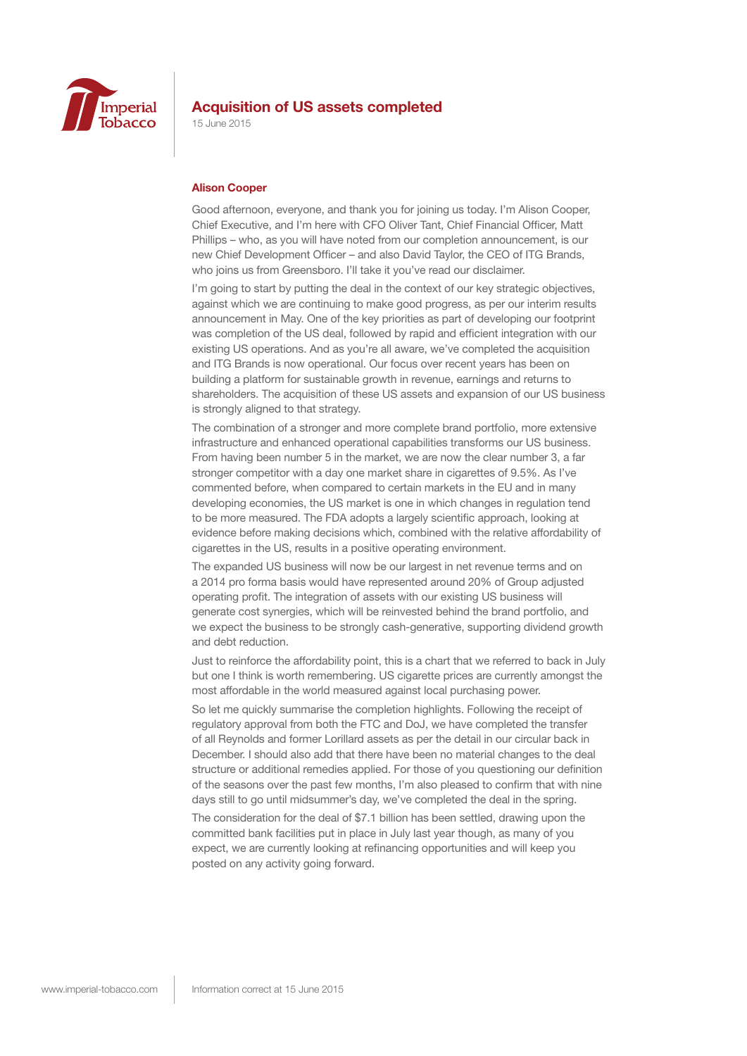

15 June 2015

#### **Alison Cooper**

Good afternoon, everyone, and thank you for joining us today. I'm Alison Cooper, Chief Executive, and I'm here with CFO Oliver Tant, Chief Financial Officer, Matt Phillips – who, as you will have noted from our completion announcement, is our new Chief Development Officer – and also David Taylor, the CEO of ITG Brands, who joins us from Greensboro. I'll take it you've read our disclaimer.

I'm going to start by putting the deal in the context of our key strategic objectives, against which we are continuing to make good progress, as per our interim results announcement in May. One of the key priorities as part of developing our footprint was completion of the US deal, followed by rapid and efficient integration with our existing US operations. And as you're all aware, we've completed the acquisition and ITG Brands is now operational. Our focus over recent years has been on building a platform for sustainable growth in revenue, earnings and returns to shareholders. The acquisition of these US assets and expansion of our US business is strongly aligned to that strategy.

The combination of a stronger and more complete brand portfolio, more extensive infrastructure and enhanced operational capabilities transforms our US business. From having been number 5 in the market, we are now the clear number 3, a far stronger competitor with a day one market share in cigarettes of 9.5%. As I've commented before, when compared to certain markets in the EU and in many developing economies, the US market is one in which changes in regulation tend to be more measured. The FDA adopts a largely scientific approach, looking at evidence before making decisions which, combined with the relative affordability of cigarettes in the US, results in a positive operating environment.

The expanded US business will now be our largest in net revenue terms and on a 2014 pro forma basis would have represented around 20% of Group adjusted operating profit. The integration of assets with our existing US business will generate cost synergies, which will be reinvested behind the brand portfolio, and we expect the business to be strongly cash-generative, supporting dividend growth and debt reduction.

Just to reinforce the affordability point, this is a chart that we referred to back in July but one I think is worth remembering. US cigarette prices are currently amongst the most affordable in the world measured against local purchasing power.

So let me quickly summarise the completion highlights. Following the receipt of regulatory approval from both the FTC and DoJ, we have completed the transfer of all Reynolds and former Lorillard assets as per the detail in our circular back in December. I should also add that there have been no material changes to the deal structure or additional remedies applied. For those of you questioning our definition of the seasons over the past few months, I'm also pleased to confirm that with nine days still to go until midsummer's day, we've completed the deal in the spring.

The consideration for the deal of \$7.1 billion has been settled, drawing upon the committed bank facilities put in place in July last year though, as many of you expect, we are currently looking at refinancing opportunities and will keep you posted on any activity going forward.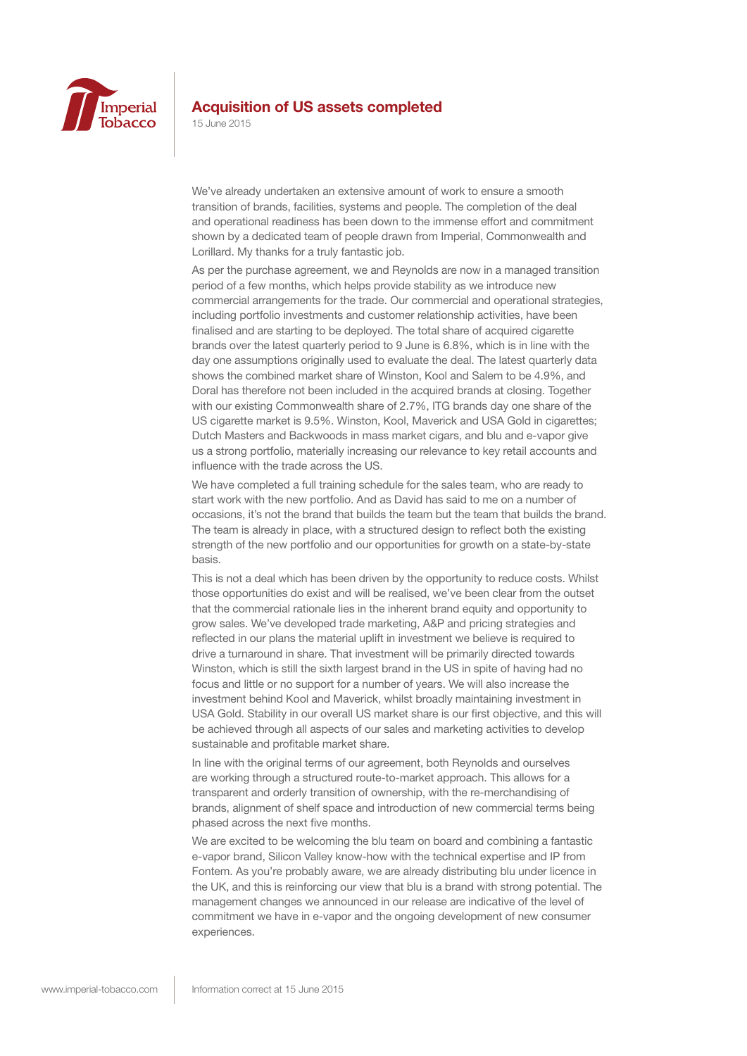

15 June 2015

We've already undertaken an extensive amount of work to ensure a smooth transition of brands, facilities, systems and people. The completion of the deal and operational readiness has been down to the immense effort and commitment shown by a dedicated team of people drawn from Imperial, Commonwealth and Lorillard. My thanks for a truly fantastic job.

As per the purchase agreement, we and Reynolds are now in a managed transition period of a few months, which helps provide stability as we introduce new commercial arrangements for the trade. Our commercial and operational strategies, including portfolio investments and customer relationship activities, have been finalised and are starting to be deployed. The total share of acquired cigarette brands over the latest quarterly period to 9 June is 6.8%, which is in line with the day one assumptions originally used to evaluate the deal. The latest quarterly data shows the combined market share of Winston, Kool and Salem to be 4.9%, and Doral has therefore not been included in the acquired brands at closing. Together with our existing Commonwealth share of 2.7%, ITG brands day one share of the US cigarette market is 9.5%. Winston, Kool, Maverick and USA Gold in cigarettes; Dutch Masters and Backwoods in mass market cigars, and blu and e-vapor give us a strong portfolio, materially increasing our relevance to key retail accounts and influence with the trade across the US.

We have completed a full training schedule for the sales team, who are ready to start work with the new portfolio. And as David has said to me on a number of occasions, it's not the brand that builds the team but the team that builds the brand. The team is already in place, with a structured design to reflect both the existing strength of the new portfolio and our opportunities for growth on a state-by-state basis.

This is not a deal which has been driven by the opportunity to reduce costs. Whilst those opportunities do exist and will be realised, we've been clear from the outset that the commercial rationale lies in the inherent brand equity and opportunity to grow sales. We've developed trade marketing, A&P and pricing strategies and reflected in our plans the material uplift in investment we believe is required to drive a turnaround in share. That investment will be primarily directed towards Winston, which is still the sixth largest brand in the US in spite of having had no focus and little or no support for a number of years. We will also increase the investment behind Kool and Maverick, whilst broadly maintaining investment in USA Gold. Stability in our overall US market share is our first objective, and this will be achieved through all aspects of our sales and marketing activities to develop sustainable and profitable market share.

In line with the original terms of our agreement, both Reynolds and ourselves are working through a structured route-to-market approach. This allows for a transparent and orderly transition of ownership, with the re-merchandising of brands, alignment of shelf space and introduction of new commercial terms being phased across the next five months.

We are excited to be welcoming the blu team on board and combining a fantastic e-vapor brand, Silicon Valley know-how with the technical expertise and IP from Fontem. As you're probably aware, we are already distributing blu under licence in the UK, and this is reinforcing our view that blu is a brand with strong potential. The management changes we announced in our release are indicative of the level of commitment we have in e-vapor and the ongoing development of new consumer experiences.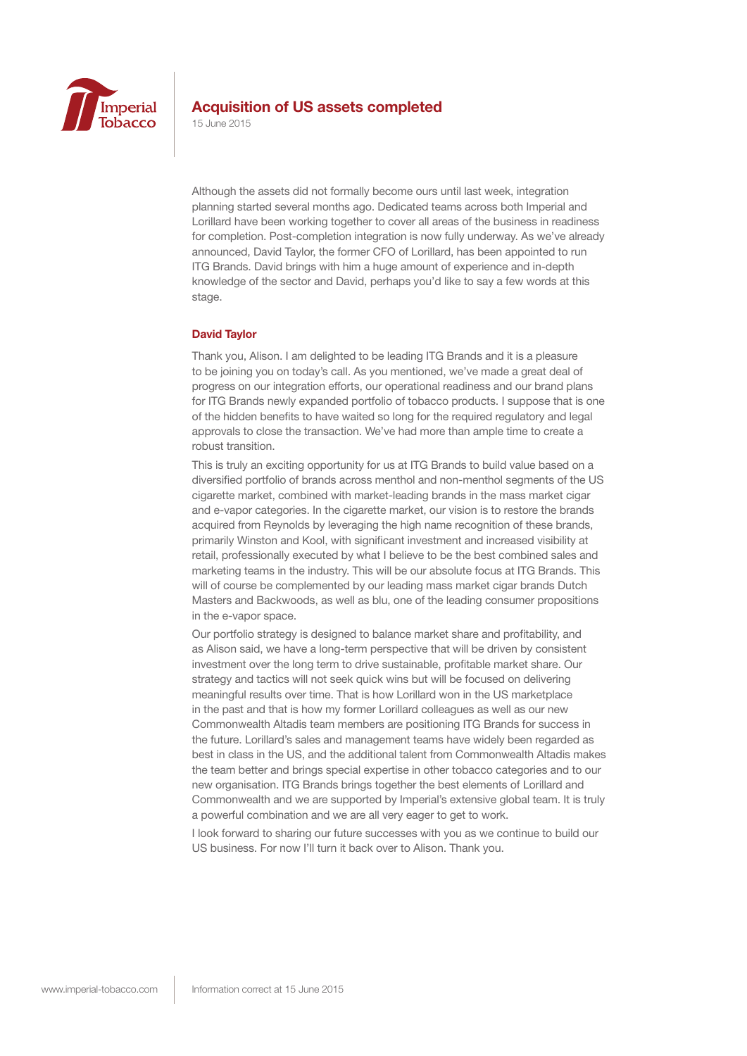

15 June 2015

Although the assets did not formally become ours until last week, integration planning started several months ago. Dedicated teams across both Imperial and Lorillard have been working together to cover all areas of the business in readiness for completion. Post-completion integration is now fully underway. As we've already announced, David Taylor, the former CFO of Lorillard, has been appointed to run ITG Brands. David brings with him a huge amount of experience and in-depth knowledge of the sector and David, perhaps you'd like to say a few words at this stage.

#### **David Taylor**

Thank you, Alison. I am delighted to be leading ITG Brands and it is a pleasure to be joining you on today's call. As you mentioned, we've made a great deal of progress on our integration efforts, our operational readiness and our brand plans for ITG Brands newly expanded portfolio of tobacco products. I suppose that is one of the hidden benefits to have waited so long for the required regulatory and legal approvals to close the transaction. We've had more than ample time to create a robust transition.

This is truly an exciting opportunity for us at ITG Brands to build value based on a diversified portfolio of brands across menthol and non-menthol segments of the US cigarette market, combined with market-leading brands in the mass market cigar and e-vapor categories. In the cigarette market, our vision is to restore the brands acquired from Reynolds by leveraging the high name recognition of these brands, primarily Winston and Kool, with significant investment and increased visibility at retail, professionally executed by what I believe to be the best combined sales and marketing teams in the industry. This will be our absolute focus at ITG Brands. This will of course be complemented by our leading mass market cigar brands Dutch Masters and Backwoods, as well as blu, one of the leading consumer propositions in the e-vapor space.

Our portfolio strategy is designed to balance market share and profitability, and as Alison said, we have a long-term perspective that will be driven by consistent investment over the long term to drive sustainable, profitable market share. Our strategy and tactics will not seek quick wins but will be focused on delivering meaningful results over time. That is how Lorillard won in the US marketplace in the past and that is how my former Lorillard colleagues as well as our new Commonwealth Altadis team members are positioning ITG Brands for success in the future. Lorillard's sales and management teams have widely been regarded as best in class in the US, and the additional talent from Commonwealth Altadis makes the team better and brings special expertise in other tobacco categories and to our new organisation. ITG Brands brings together the best elements of Lorillard and Commonwealth and we are supported by Imperial's extensive global team. It is truly a powerful combination and we are all very eager to get to work.

I look forward to sharing our future successes with you as we continue to build our US business. For now I'll turn it back over to Alison. Thank you.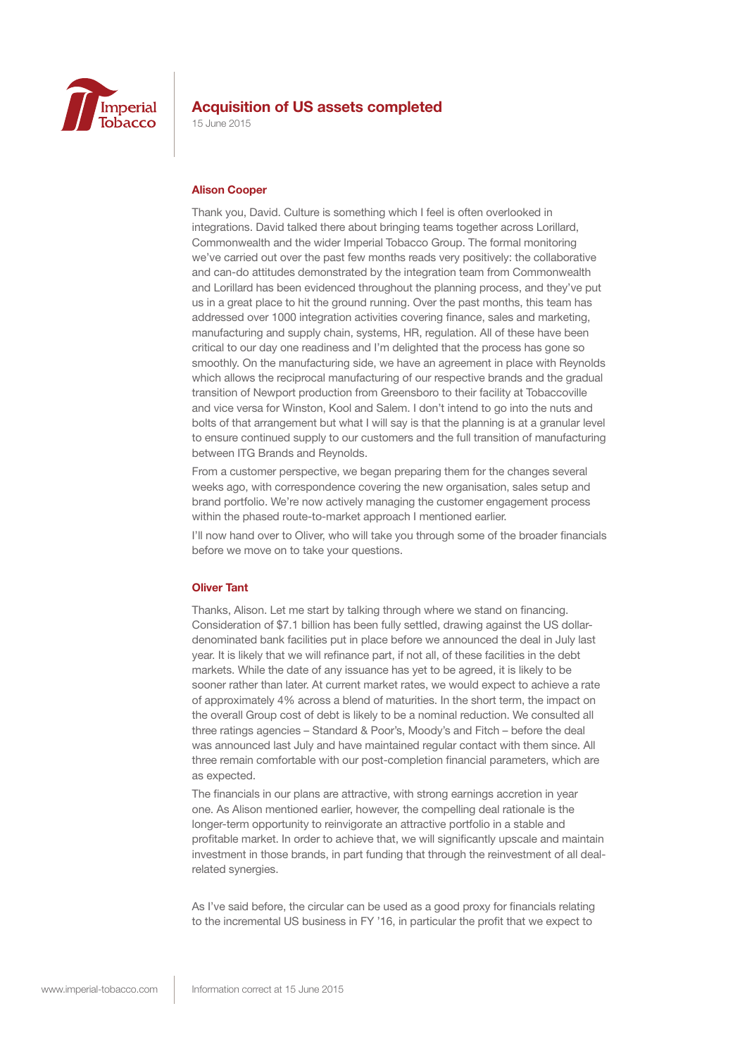

15 June 2015

#### **Alison Cooper**

Thank you, David. Culture is something which I feel is often overlooked in integrations. David talked there about bringing teams together across Lorillard, Commonwealth and the wider Imperial Tobacco Group. The formal monitoring we've carried out over the past few months reads very positively: the collaborative and can-do attitudes demonstrated by the integration team from Commonwealth and Lorillard has been evidenced throughout the planning process, and they've put us in a great place to hit the ground running. Over the past months, this team has addressed over 1000 integration activities covering finance, sales and marketing, manufacturing and supply chain, systems, HR, regulation. All of these have been critical to our day one readiness and I'm delighted that the process has gone so smoothly. On the manufacturing side, we have an agreement in place with Reynolds which allows the reciprocal manufacturing of our respective brands and the gradual transition of Newport production from Greensboro to their facility at Tobaccoville and vice versa for Winston, Kool and Salem. I don't intend to go into the nuts and bolts of that arrangement but what I will say is that the planning is at a granular level to ensure continued supply to our customers and the full transition of manufacturing between ITG Brands and Reynolds.

From a customer perspective, we began preparing them for the changes several weeks ago, with correspondence covering the new organisation, sales setup and brand portfolio. We're now actively managing the customer engagement process within the phased route-to-market approach I mentioned earlier.

I'll now hand over to Oliver, who will take you through some of the broader financials before we move on to take your questions.

#### **Oliver Tant**

Thanks, Alison. Let me start by talking through where we stand on financing. Consideration of \$7.1 billion has been fully settled, drawing against the US dollardenominated bank facilities put in place before we announced the deal in July last year. It is likely that we will refinance part, if not all, of these facilities in the debt markets. While the date of any issuance has yet to be agreed, it is likely to be sooner rather than later. At current market rates, we would expect to achieve a rate of approximately 4% across a blend of maturities. In the short term, the impact on the overall Group cost of debt is likely to be a nominal reduction. We consulted all three ratings agencies – Standard & Poor's, Moody's and Fitch – before the deal was announced last July and have maintained regular contact with them since. All three remain comfortable with our post-completion financial parameters, which are as expected.

The financials in our plans are attractive, with strong earnings accretion in year one. As Alison mentioned earlier, however, the compelling deal rationale is the longer-term opportunity to reinvigorate an attractive portfolio in a stable and profitable market. In order to achieve that, we will significantly upscale and maintain investment in those brands, in part funding that through the reinvestment of all dealrelated synergies.

As I've said before, the circular can be used as a good proxy for financials relating to the incremental US business in FY '16, in particular the profit that we expect to